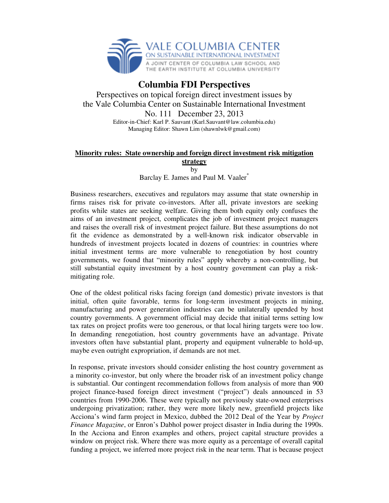

## **Columbia FDI Perspectives**

Perspectives on topical foreign direct investment issues by the Vale Columbia Center on Sustainable International Investment No. 111 December 23, 2013

Editor-in-Chief: Karl P. Sauvant (Karl.Sauvant@law.columbia.edu) Managing Editor: Shawn Lim (shawnlwk@gmail.com)

## **Minority rules: State ownership and foreign direct investment risk mitigation**

**strategy** 

by

Barclay E. James and Paul M. Vaaler<sup>\*</sup>

Business researchers, executives and regulators may assume that state ownership in firms raises risk for private co-investors. After all, private investors are seeking profits while states are seeking welfare. Giving them both equity only confuses the aims of an investment project, complicates the job of investment project managers and raises the overall risk of investment project failure. But these assumptions do not fit the evidence as demonstrated by a well-known risk indicator observable in hundreds of investment projects located in dozens of countries: in countries where initial investment terms are more vulnerable to renegotiation by host country governments, we found that "minority rules" apply whereby a non-controlling, but still substantial equity investment by a host country government can play a riskmitigating role.

One of the oldest political risks facing foreign (and domestic) private investors is that initial, often quite favorable, terms for long-term investment projects in mining, manufacturing and power generation industries can be unilaterally upended by host country governments. A government official may decide that initial terms setting low tax rates on project profits were too generous, or that local hiring targets were too low. In demanding renegotiation, host country governments have an advantage. Private investors often have substantial plant, property and equipment vulnerable to hold-up, maybe even outright expropriation, if demands are not met.

In response, private investors should consider enlisting the host country government as a minority co-investor, but only where the broader risk of an investment policy change is substantial. Our contingent recommendation follows from analysis of more than 900 project finance-based foreign direct investment ("project") deals announced in 53 countries from 1990-2006. These were typically not previously state-owned enterprises undergoing privatization; rather, they were more likely new, greenfield projects like Acciona's wind farm project in Mexico, dubbed the 2012 Deal of the Year by *Project Finance Magazine*, or Enron's Dabhol power project disaster in India during the 1990s. In the Acciona and Enron examples and others, project capital structure provides a window on project risk. Where there was more equity as a percentage of overall capital funding a project, we inferred more project risk in the near term. That is because project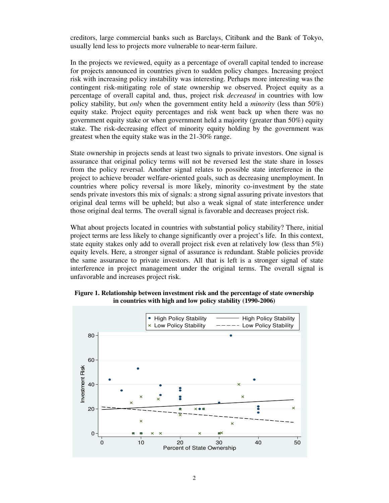creditors, large commercial banks such as Barclays, Citibank and the Bank of Tokyo, usually lend less to projects more vulnerable to near-term failure.

In the projects we reviewed, equity as a percentage of overall capital tended to increase for projects announced in countries given to sudden policy changes. Increasing project risk with increasing policy instability was interesting. Perhaps more interesting was the contingent risk-mitigating role of state ownership we observed. Project equity as a percentage of overall capital and, thus, project risk *decreased* in countries with low policy stability, but *only* when the government entity held a *minority* (less than 50%) equity stake. Project equity percentages and risk went back up when there was no government equity stake or when government held a majority (greater than 50%) equity stake. The risk-decreasing effect of minority equity holding by the government was greatest when the equity stake was in the 21-30% range.

State ownership in projects sends at least two signals to private investors. One signal is assurance that original policy terms will not be reversed lest the state share in losses from the policy reversal. Another signal relates to possible state interference in the project to achieve broader welfare-oriented goals, such as decreasing unemployment. In countries where policy reversal is more likely, minority co-investment by the state sends private investors this mix of signals: a strong signal assuring private investors that original deal terms will be upheld; but also a weak signal of state interference under those original deal terms. The overall signal is favorable and decreases project risk.

What about projects located in countries with substantial policy stability? There, initial project terms are less likely to change significantly over a project's life. In this context, state equity stakes only add to overall project risk even at relatively low (less than 5%) equity levels. Here, a stronger signal of assurance is redundant. Stable policies provide the same assurance to private investors. All that is left is a stronger signal of state interference in project management under the original terms. The overall signal is unfavorable and increases project risk.